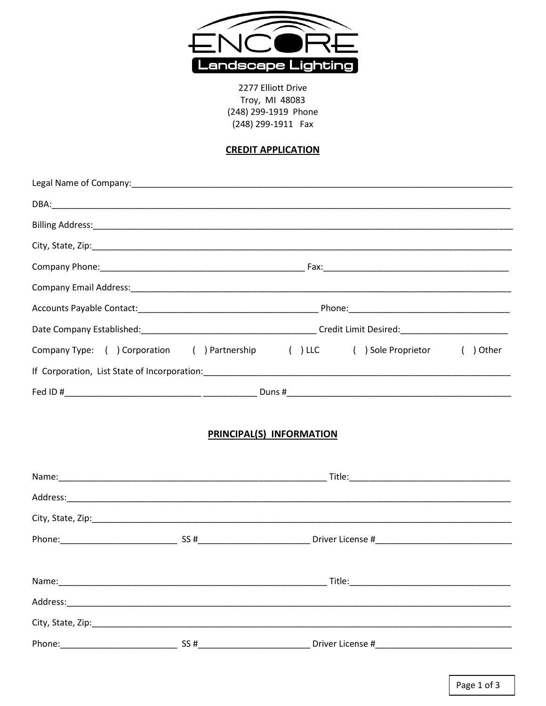

2277 Elliott Drive Troy, MI 48083 (248) 299-1919 Phone (248) 299-1911 Fax

## **CREDIT APPLICATION**

|                                                                                                                                                                                                                                | Company Type: ( ) Corporation ( ) Partnership ( ) LLC ( ) Sole Proprietor ( ) Other |  |  |
|--------------------------------------------------------------------------------------------------------------------------------------------------------------------------------------------------------------------------------|-------------------------------------------------------------------------------------|--|--|
| If Corporation, List State of Incorporation: National Communication of the Corporation of the Corporation of the Corporation of the Corporation of the Corporation of the Corporation of the Corporation of the Corporation of |                                                                                     |  |  |
|                                                                                                                                                                                                                                |                                                                                     |  |  |

## PRINCIPAL(S) INFORMATION

|  | <b>Name:</b> Title: Title: Title: Title: Title: Title: Title: Title: Title: Title: Title: Title: Title: Title: Title: Title: Title: Title: Title: Title: Title: Title: Title: Title: Title: Title: Title: Title: Title: Title: Titl |  |
|--|-------------------------------------------------------------------------------------------------------------------------------------------------------------------------------------------------------------------------------------|--|
|  |                                                                                                                                                                                                                                     |  |
|  |                                                                                                                                                                                                                                     |  |
|  |                                                                                                                                                                                                                                     |  |
|  |                                                                                                                                                                                                                                     |  |
|  |                                                                                                                                                                                                                                     |  |
|  |                                                                                                                                                                                                                                     |  |
|  |                                                                                                                                                                                                                                     |  |
|  | SS # Driver License # Driver + 2012 1996                                                                                                                                                                                            |  |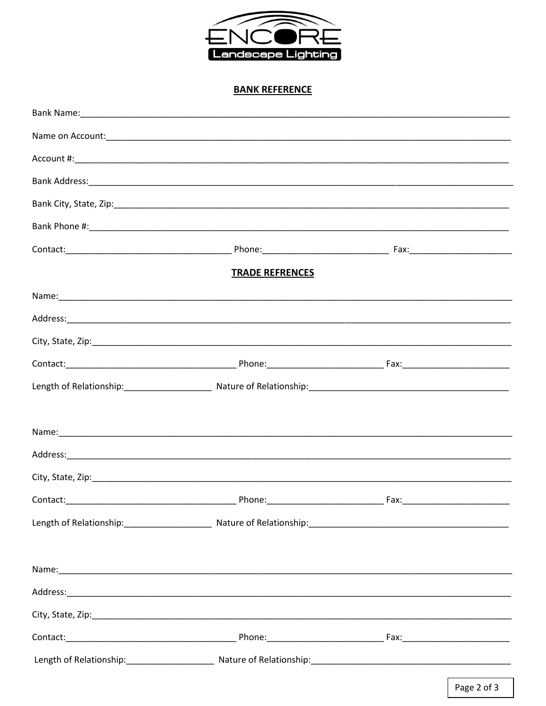

## **BANK REFERENCE**

| <b>TRADE REFRENCES</b> |  |
|------------------------|--|
|                        |  |
|                        |  |
|                        |  |
|                        |  |
|                        |  |
|                        |  |
|                        |  |
|                        |  |
|                        |  |
|                        |  |
|                        |  |
|                        |  |
|                        |  |
|                        |  |
|                        |  |
|                        |  |
|                        |  |
|                        |  |